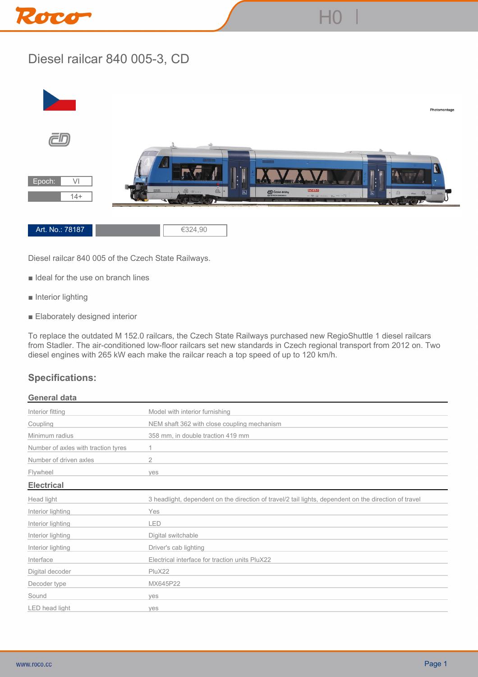

## **Diesel railcar 840 005-3, CD**



**Diesel railcar 840 005 of the Czech State Railways.**

- **Ideal for the use on branch lines**
- **Interior lighting**
- **Elaborately designed interior**

**To replace the outdated M 152.0 railcars, the Czech State Railways purchased new RegioShuttle 1 diesel railcars from Stadler. The air-conditioned low-floor railcars set new standards in Czech regional transport from 2012 on. Two diesel engines with 265 kW each make the railcar reach a top speed of up to 120 km/h.**

## **Specifications:**

## **General data**

| Interior fitting                    | Model with interior furnishing                                                                        |
|-------------------------------------|-------------------------------------------------------------------------------------------------------|
| Coupling                            | NEM shaft 362 with close coupling mechanism                                                           |
| Minimum radius                      | 358 mm, in double traction 419 mm                                                                     |
| Number of axles with traction tyres | 1.                                                                                                    |
| Number of driven axles              | $\overline{2}$                                                                                        |
| Flywheel                            | yes                                                                                                   |
| <b>Electrical</b>                   |                                                                                                       |
| Head light                          | 3 headlight, dependent on the direction of travel/2 tail lights, dependent on the direction of travel |
| Interior lighting                   | Yes                                                                                                   |
| Interior lighting                   | LED                                                                                                   |
| Interior lighting                   | Digital switchable                                                                                    |
| Interior lighting                   | Driver's cab lighting                                                                                 |
| Interface                           | Electrical interface for traction units PluX22                                                        |
| Digital decoder                     | PluX22                                                                                                |
| Decoder type                        | MX645P22                                                                                              |
| Sound                               | yes                                                                                                   |
| LED head light                      | yes                                                                                                   |